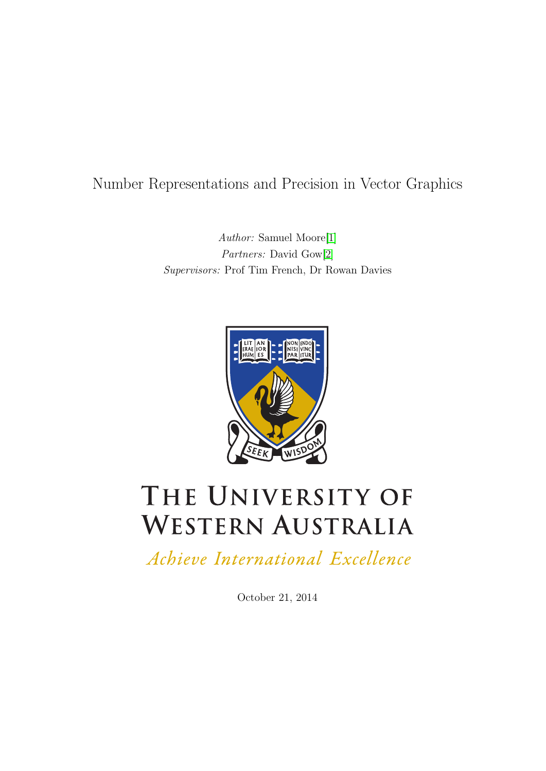# Number Representations and Precision in Vector Graphics

Author: Samuel Moore[\[1\]](#page-30-0) Partners: David Gow[\[2\]](#page-30-1) Supervisors: Prof Tim French, Dr Rowan Davies



# THE UNIVERSITY OF **WESTERN AUSTRALIA**

Achieve International Excellence

October 21, 2014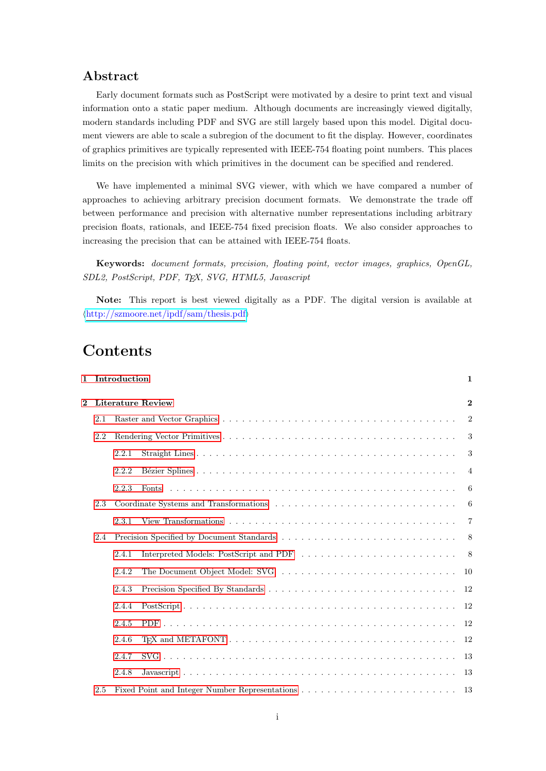## Abstract

Early document formats such as PostScript were motivated by a desire to print text and visual information onto a static paper medium. Although documents are increasingly viewed digitally, modern standards including PDF and SVG are still largely based upon this model. Digital document viewers are able to scale a subregion of the document to fit the display. However, coordinates of graphics primitives are typically represented with IEEE-754 floating point numbers. This places limits on the precision with which primitives in the document can be specified and rendered.

We have implemented a minimal SVG viewer, with which we have compared a number of approaches to achieving arbitrary precision document formats. We demonstrate the trade off between performance and precision with alternative number representations including arbitrary precision floats, rationals, and IEEE-754 fixed precision floats. We also consider approaches to increasing the precision that can be attained with IEEE-754 floats.

Keywords: document formats, precision, floating point, vector images, graphics, OpenGL, SDL2, PostScript, PDF, TEX, SVG, HTML5, Javascript

Note: This report is best viewed digitally as a PDF. The digital version is available at  $\langle$ <http://szmoore.net/ipdf/sam/thesis.pdf> $\rangle$ 

# Contents

|                |     | 1 Introduction |                                                                                                                                                | 1              |
|----------------|-----|----------------|------------------------------------------------------------------------------------------------------------------------------------------------|----------------|
| $\overline{2}$ |     |                | Literature Review                                                                                                                              | $\mathbf{2}$   |
|                | 2.1 |                |                                                                                                                                                | $\overline{2}$ |
|                | 2.2 |                |                                                                                                                                                | 3              |
|                |     | 2.2.1          |                                                                                                                                                | 3              |
|                |     | 2.2.2          |                                                                                                                                                | $\overline{4}$ |
|                |     | 2.2.3          |                                                                                                                                                | 6              |
|                | 2.3 |                | Coordinate Systems and Transformations (a) in the coordinate Systems and Transformations (b) is a comparable control of the system of $\alpha$ | 6              |
|                |     | 2.3.1          |                                                                                                                                                | $\overline{7}$ |
|                | 2.4 |                |                                                                                                                                                | 8              |
|                |     | 2.4.1          |                                                                                                                                                | - 8            |
|                |     | 2.4.2          |                                                                                                                                                | 10             |
|                |     | 2.4.3          |                                                                                                                                                | 12             |
|                |     | 2.4.4          |                                                                                                                                                | 12             |
|                |     | 2.4.5          |                                                                                                                                                | 12             |
|                |     | 2.4.6          |                                                                                                                                                | -12            |
|                |     | 2.4.7          |                                                                                                                                                | -13            |
|                |     | 2.4.8          |                                                                                                                                                | -13            |
|                | 2.5 |                |                                                                                                                                                | -13            |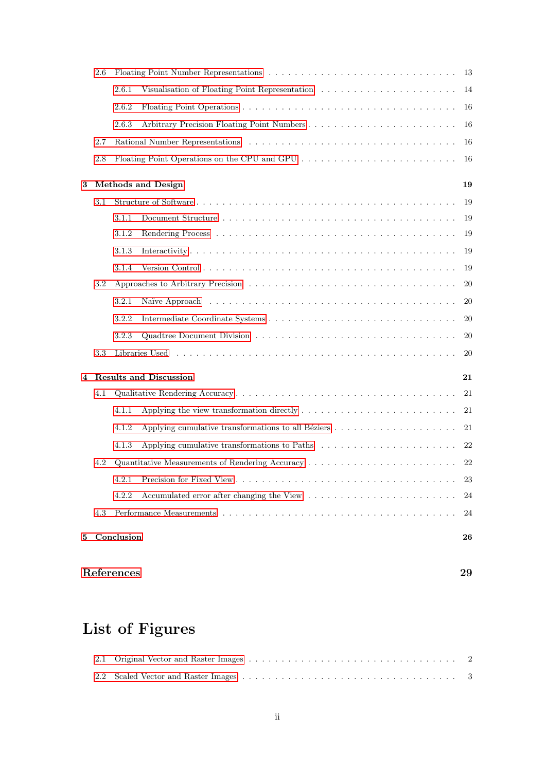|   | $2.6\,$ |                                 |                                                                                                   | 13     |
|---|---------|---------------------------------|---------------------------------------------------------------------------------------------------|--------|
|   |         | 2.6.1                           |                                                                                                   | 14     |
|   |         | 2.6.2                           |                                                                                                   | 16     |
|   |         | 2.6.3                           |                                                                                                   | 16     |
|   | 2.7     |                                 |                                                                                                   | 16     |
|   | $2.8\,$ |                                 | Floating Point Operations on the CPU and GPU                                                      | 16     |
| 3 |         | <b>Methods and Design</b><br>19 |                                                                                                   |        |
|   | 3.1     |                                 |                                                                                                   | 19     |
|   |         | 3.1.1                           |                                                                                                   | 19     |
|   |         | 3.1.2                           |                                                                                                   | 19     |
|   |         | 3.1.3                           |                                                                                                   | 19     |
|   |         | 3.1.4                           |                                                                                                   | 19     |
|   | $3.2\,$ |                                 |                                                                                                   | 20     |
|   |         | 3.2.1                           |                                                                                                   | 20     |
|   |         | 3.2.2                           |                                                                                                   | 20     |
|   |         | 3.2.3                           |                                                                                                   | 20     |
|   | $3.3\,$ |                                 |                                                                                                   | 20     |
| 4 |         |                                 | <b>Results and Discussion</b>                                                                     | 21     |
|   | 4.1     |                                 |                                                                                                   | 21     |
|   |         | 4.1.1                           | Applying the view transformation directly $\dots \dots \dots \dots \dots \dots \dots \dots \dots$ | 21     |
|   |         | 4.1.2                           |                                                                                                   | 21     |
|   |         |                                 |                                                                                                   |        |
|   |         | 4.1.3                           |                                                                                                   | 22     |
|   | 4.2     |                                 |                                                                                                   | 22     |
|   |         |                                 |                                                                                                   | $23\,$ |
|   |         | 4.2.2                           |                                                                                                   | 24     |
|   | 4.3     |                                 |                                                                                                   | 24     |

# [References](#page-30-2) 29

# List of Figures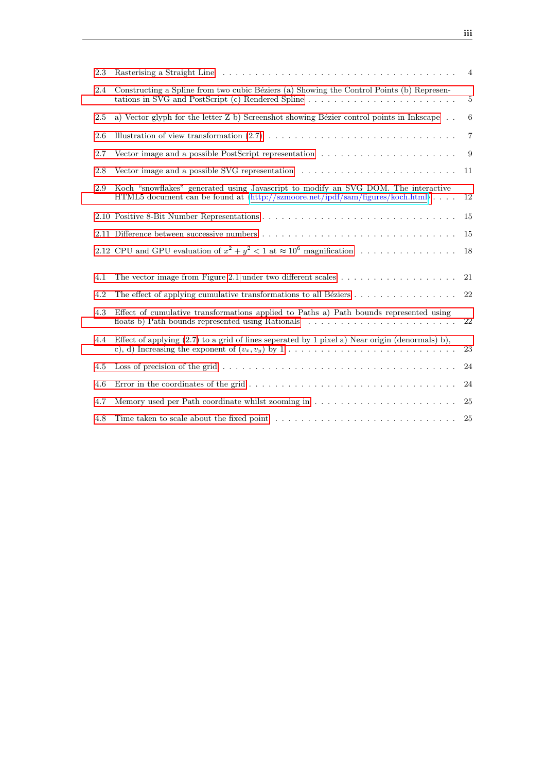| 2.3 |                                                                                                                                                                                                   | $\overline{4}$ |
|-----|---------------------------------------------------------------------------------------------------------------------------------------------------------------------------------------------------|----------------|
| 2.4 | Constructing a Spline from two cubic Béziers (a) Showing the Control Points (b) Represen-<br>tations in SVG and PostScript (c) Rendered Spline                                                    | $\overline{5}$ |
| 2.5 | a) Vector glyph for the letter Z b) Screenshot showing Bézier control points in Inkscape $\,$                                                                                                     | 6              |
| 2.6 |                                                                                                                                                                                                   | $\overline{7}$ |
| 2.7 | Vector image and a possible PostScript representation $\ldots \ldots \ldots \ldots \ldots \ldots \ldots$                                                                                          | 9              |
| 2.8 | Vector image and a possible SVG representation $\dots \dots \dots \dots \dots \dots \dots \dots \dots$                                                                                            | 11             |
| 2.9 | Koch "snowflakes" generated using Javascript to modify an SVG DOM. The interactive<br>HTML5 document can be found at $\langle \text{http://szmoore.net/ipdf/sam/figures/koch.html} \rangle \dots$ | 12             |
|     |                                                                                                                                                                                                   | 15             |
|     |                                                                                                                                                                                                   | 15             |
|     | 2.12 CPU and GPU evaluation of $x^2 + y^2 < 1$ at $\approx 10^6$ magnification                                                                                                                    | 18             |
| 4.1 |                                                                                                                                                                                                   | 21             |
| 4.2 |                                                                                                                                                                                                   | 22             |
| 4.3 | Effect of cumulative transformations applied to Paths a) Path bounds represented using                                                                                                            | $22\,$         |
| 4.4 | Effect of applying $(2.7)$ to a grid of lines seperated by 1 pixel a) Near origin (denormals) b),<br>c), d) Increasing the exponent of $(v_x, v_y)$ by 1                                          | 23             |
| 4.5 |                                                                                                                                                                                                   | 24             |
| 4.6 |                                                                                                                                                                                                   | 24             |
| 4.7 |                                                                                                                                                                                                   | 25             |
| 4.8 |                                                                                                                                                                                                   | 25             |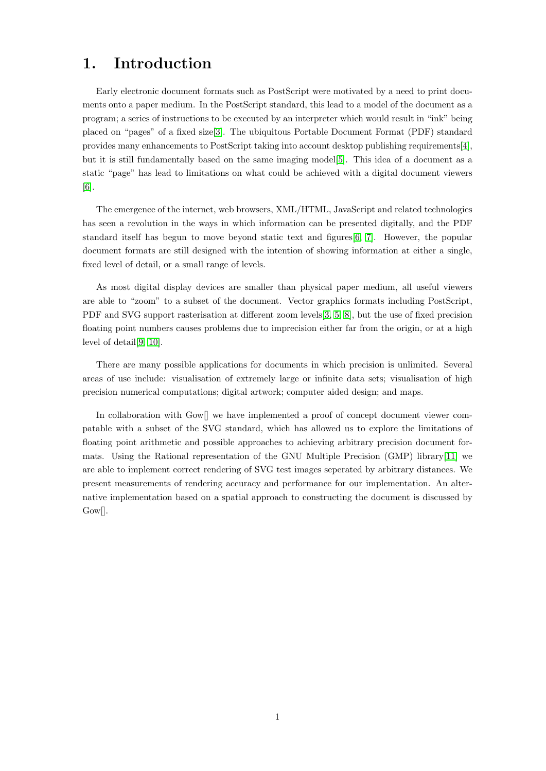# <span id="page-4-0"></span>1. Introduction

Early electronic document formats such as PostScript were motivated by a need to print documents onto a paper medium. In the PostScript standard, this lead to a model of the document as a program; a series of instructions to be executed by an interpreter which would result in "ink" being placed on "pages" of a fixed size[\[3\]](#page-30-3). The ubiquitous Portable Document Format (PDF) standard provides many enhancements to PostScript taking into account desktop publishing requirements[\[4\]](#page-30-4), but it is still fundamentally based on the same imaging model[\[5\]](#page-30-5). This idea of a document as a static "page" has lead to limitations on what could be achieved with a digital document viewers [\[6\]](#page-30-6).

The emergence of the internet, web browsers, XML/HTML, JavaScript and related technologies has seen a revolution in the ways in which information can be presented digitally, and the PDF standard itself has begun to move beyond static text and figures[\[6,](#page-30-6) [7\]](#page-30-7). However, the popular document formats are still designed with the intention of showing information at either a single, fixed level of detail, or a small range of levels.

As most digital display devices are smaller than physical paper medium, all useful viewers are able to "zoom" to a subset of the document. Vector graphics formats including PostScript, PDF and SVG support rasterisation at different zoom levels[\[3,](#page-30-3) [5,](#page-30-5) [8\]](#page-30-8), but the use of fixed precision floating point numbers causes problems due to imprecision either far from the origin, or at a high level of detail[\[9,](#page-30-9) [10\]](#page-30-10).

There are many possible applications for documents in which precision is unlimited. Several areas of use include: visualisation of extremely large or infinite data sets; visualisation of high precision numerical computations; digital artwork; computer aided design; and maps.

In collaboration with Gow[] we have implemented a proof of concept document viewer compatable with a subset of the SVG standard, which has allowed us to explore the limitations of floating point arithmetic and possible approaches to achieving arbitrary precision document formats. Using the Rational representation of the GNU Multiple Precision (GMP) library[\[11\]](#page-30-11) we are able to implement correct rendering of SVG test images seperated by arbitrary distances. We present measurements of rendering accuracy and performance for our implementation. An alternative implementation based on a spatial approach to constructing the document is discussed by Gow[].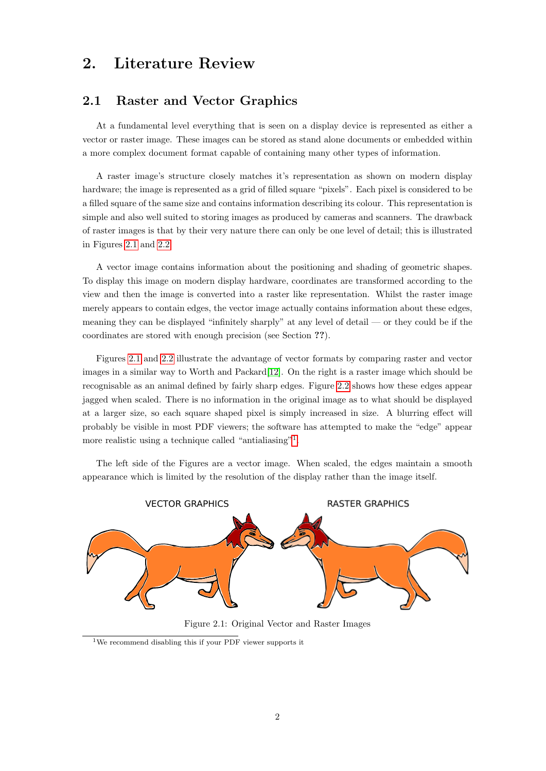# <span id="page-5-0"></span>2. Literature Review

# <span id="page-5-1"></span>2.1 Raster and Vector Graphics

At a fundamental level everything that is seen on a display device is represented as either a vector or raster image. These images can be stored as stand alone documents or embedded within a more complex document format capable of containing many other types of information.

A raster image's structure closely matches it's representation as shown on modern display hardware; the image is represented as a grid of filled square "pixels". Each pixel is considered to be a filled square of the same size and contains information describing its colour. This representation is simple and also well suited to storing images as produced by cameras and scanners. The drawback of raster images is that by their very nature there can only be one level of detail; this is illustrated in Figures [2.1](#page-5-2) and [2.2.](#page-6-2)

A vector image contains information about the positioning and shading of geometric shapes. To display this image on modern display hardware, coordinates are transformed according to the view and then the image is converted into a raster like representation. Whilst the raster image merely appears to contain edges, the vector image actually contains information about these edges, meaning they can be displayed "infinitely sharply" at any level of detail — or they could be if the coordinates are stored with enough precision (see Section ??).

Figures [2.1](#page-5-2) and [2.2](#page-6-2) illustrate the advantage of vector formats by comparing raster and vector images in a similar way to Worth and Packard[\[12\]](#page-30-12). On the right is a raster image which should be recognisable as an animal defined by fairly sharp edges. Figure [2.2](#page-6-2) shows how these edges appear jagged when scaled. There is no information in the original image as to what should be displayed at a larger size, so each square shaped pixel is simply increased in size. A blurring effect will probably be visible in most PDF viewers; the software has attempted to make the "edge" appear more realistic using a technique called "antialiasing"<sup>[1](#page-5-3)</sup>.

The left side of the Figures are a vector image. When scaled, the edges maintain a smooth appearance which is limited by the resolution of the display rather than the image itself.

<span id="page-5-2"></span>

Figure 2.1: Original Vector and Raster Images

<span id="page-5-3"></span><sup>1</sup>We recommend disabling this if your PDF viewer supports it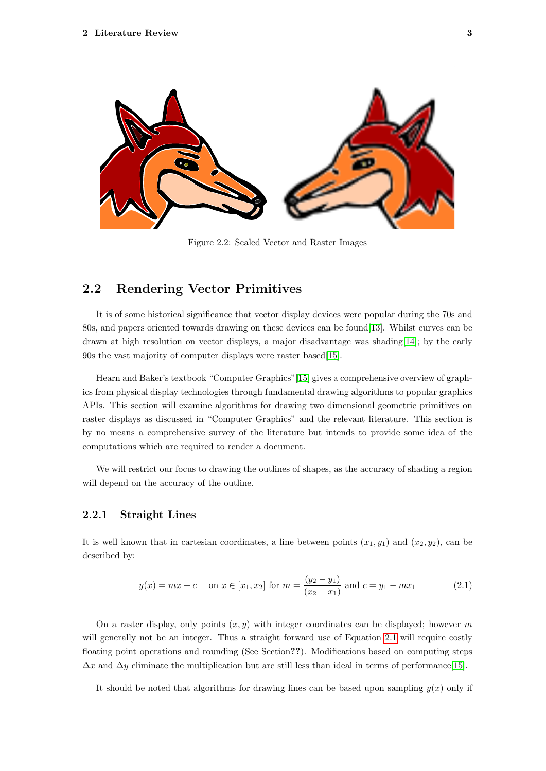<span id="page-6-2"></span>

Figure 2.2: Scaled Vector and Raster Images

## <span id="page-6-0"></span>2.2 Rendering Vector Primitives

It is of some historical significance that vector display devices were popular during the 70s and 80s, and papers oriented towards drawing on these devices can be found[\[13\]](#page-30-13). Whilst curves can be drawn at high resolution on vector displays, a major disadvantage was shading[\[14\]](#page-30-14); by the early 90s the vast majority of computer displays were raster based[\[15\]](#page-30-15).

Hearn and Baker's textbook "Computer Graphics"[\[15\]](#page-30-15) gives a comprehensive overview of graphics from physical display technologies through fundamental drawing algorithms to popular graphics APIs. This section will examine algorithms for drawing two dimensional geometric primitives on raster displays as discussed in "Computer Graphics" and the relevant literature. This section is by no means a comprehensive survey of the literature but intends to provide some idea of the computations which are required to render a document.

<span id="page-6-1"></span>We will restrict our focus to drawing the outlines of shapes, as the accuracy of shading a region will depend on the accuracy of the outline.

#### 2.2.1 Straight Lines

It is well known that in cartesian coordinates, a line between points  $(x_1, y_1)$  and  $(x_2, y_2)$ , can be described by:

<span id="page-6-3"></span>
$$
y(x) = mx + c
$$
 on  $x \in [x_1, x_2]$  for  $m = \frac{(y_2 - y_1)}{(x_2 - x_1)}$  and  $c = y_1 - mx_1$  (2.1)

On a raster display, only points  $(x, y)$  with integer coordinates can be displayed; however m will generally not be an integer. Thus a straight forward use of Equation [2.1](#page-6-3) will require costly floating point operations and rounding (See Section??). Modifications based on computing steps  $\Delta x$  and  $\Delta y$  eliminate the multiplication but are still less than ideal in terms of performance[\[15\]](#page-30-15).

It should be noted that algorithms for drawing lines can be based upon sampling  $y(x)$  only if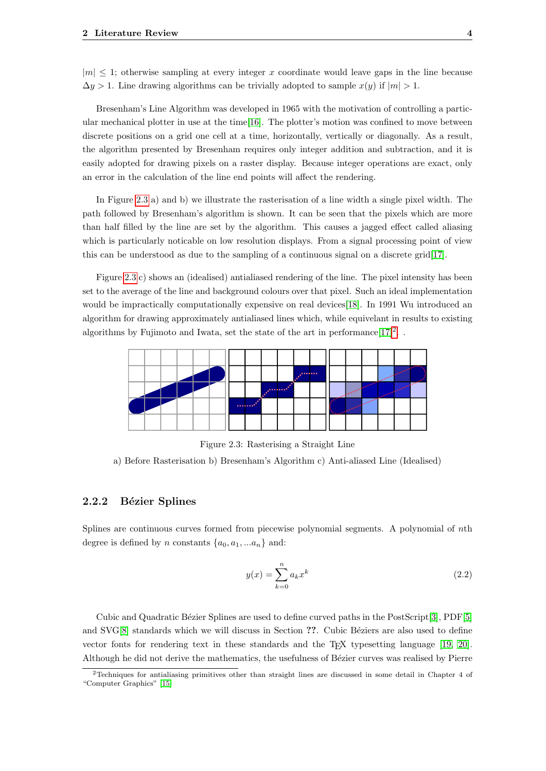$|m| \leq 1$ ; otherwise sampling at every integer x coordinate would leave gaps in the line because  $\Delta y > 1$ . Line drawing algorithms can be trivially adopted to sample  $x(y)$  if  $|m| > 1$ .

Bresenham's Line Algorithm was developed in 1965 with the motivation of controlling a particular mechanical plotter in use at the time[\[16\]](#page-30-16). The plotter's motion was confined to move between discrete positions on a grid one cell at a time, horizontally, vertically or diagonally. As a result, the algorithm presented by Bresenham requires only integer addition and subtraction, and it is easily adopted for drawing pixels on a raster display. Because integer operations are exact, only an error in the calculation of the line end points will affect the rendering.

In Figure [2.3](#page-7-1) a) and b) we illustrate the rasterisation of a line width a single pixel width. The path followed by Bresenham's algorithm is shown. It can be seen that the pixels which are more than half filled by the line are set by the algorithm. This causes a jagged effect called aliasing which is particularly noticable on low resolution displays. From a signal processing point of view this can be understood as due to the sampling of a continuous signal on a discrete grid[\[17\]](#page-30-17).

Figure [2.3](#page-7-1) c) shows an (idealised) antialiased rendering of the line. The pixel intensity has been set to the average of the line and background colours over that pixel. Such an ideal implementation would be impractically computationally expensive on real devices[\[18\]](#page-31-0). In 1991 Wu introduced an algorithm for drawing approximately antialiased lines which, while equivelant in results to existing algorithms by Fujimoto and Iwata, set the state of the art in performance  $[17]^2$  $[17]^2$  $[17]^2$ .

<span id="page-7-1"></span>

Figure 2.3: Rasterising a Straight Line

a) Before Rasterisation b) Bresenham's Algorithm c) Anti-aliased Line (Idealised)

#### <span id="page-7-0"></span>2.2.2 Bézier Splines

Splines are continuous curves formed from piecewise polynomial segments. A polynomial of nth degree is defined by n constants  $\{a_0, a_1, ... a_n\}$  and:

$$
y(x) = \sum_{k=0}^{n} a_k x^k
$$
\n
$$
(2.2)
$$

Cubic and Quadratic Bézier Splines are used to define curved paths in the PostScript[\[3\]](#page-30-3), PDF[\[5\]](#page-30-5) and SVG[\[8\]](#page-30-8) standards which we will discuss in Section ??. Cubic Béziers are also used to define vector fonts for rendering text in these standards and the TEX typesetting language [\[19,](#page-31-1) [20\]](#page-31-2). Although he did not derive the mathematics, the usefulness of Bézier curves was realised by Pierre

<span id="page-7-2"></span><sup>2</sup>Techniques for antialiasing primitives other than straight lines are discussed in some detail in Chapter 4 of "Computer Graphics" [\[15\]](#page-30-15)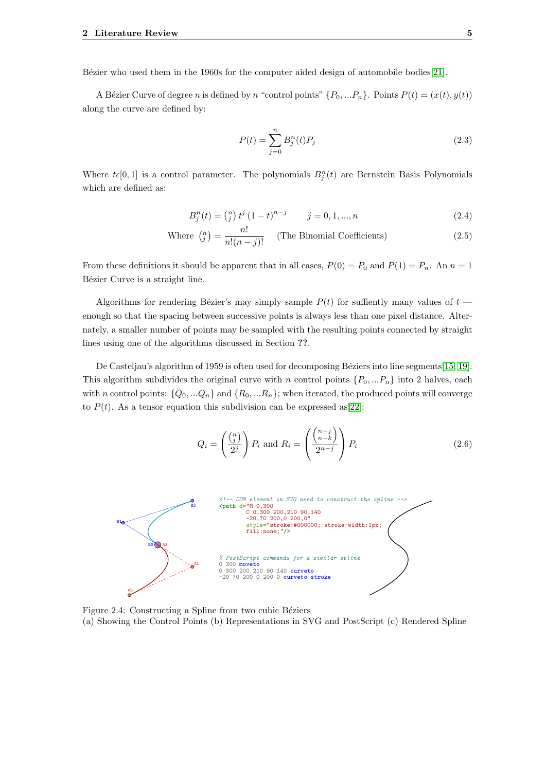Bézier who used them in the 1960s for the computer aided design of automobile bodies[\[21\]](#page-31-3).

A Bézier Curve of degree n is defined by n "control points"  $\{P_0, ... P_n\}$ . Points  $P(t) = (x(t), y(t))$ along the curve are defined by:

$$
P(t) = \sum_{j=0}^{n} B_j^n(t) P_j
$$
\n(2.3)

Where  $t\epsilon[0,1]$  is a control parameter. The polynomials  $B_j^n(t)$  are Bernstein Basis Polynomials which are defined as:

$$
B_j^n(t) = \binom{n}{j} t^j (1-t)^{n-j} \qquad j = 0, 1, ..., n \tag{2.4}
$$

Where 
$$
\binom{n}{j} = \frac{n!}{n!(n-j)!}
$$
 (The Binomial Coefficients) \t(2.5)

From these definitions it should be apparent that in all cases,  $P(0) = P_0$  and  $P(1) = P_n$ . An  $n = 1$ Bézier Curve is a straight line.

Algorithms for rendering Bézier's may simply sample  $P(t)$  for suffiently many values of  $t$  enough so that the spacing between successive points is always less than one pixel distance. Alternately, a smaller number of points may be sampled with the resulting points connected by straight lines using one of the algorithms discussed in Section ??.

De Casteljau's algorithm of 1959 is often used for decomposing Béziers into line segments[\[15,](#page-30-15) [19\]](#page-31-1). This algorithm subdivides the original curve with n control points  $\{P_0, ... P_n\}$  into 2 halves, each with n control points:  $\{Q_0, ... Q_n\}$  and  $\{R_0, ... R_n\}$ ; when iterated, the produced points will converge to  $P(t)$ . As a tensor equation this subdivision can be expressed as [\[22\]](#page-31-4):

$$
Q_i = \left(\frac{\binom{n}{j}}{2^j}\right) P_i \text{ and } R_i = \left(\frac{\binom{n-j}{n-k}}{2^{n-j}}\right) P_i \tag{2.6}
$$

<span id="page-8-1"></span>

<span id="page-8-0"></span>Figure 2.4: Constructing a Spline from two cubic Béziers (a) Showing the Control Points (b) Representations in SVG and PostScript (c) Rendered Spline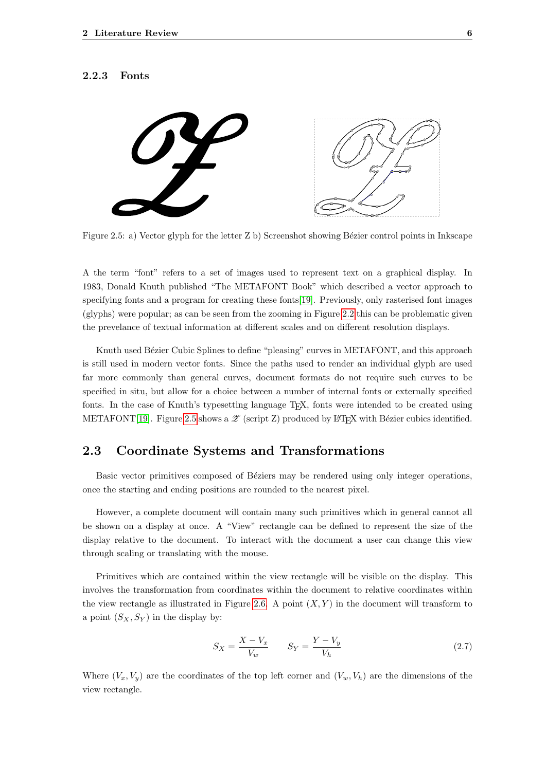#### 2.2.3 Fonts

<span id="page-9-1"></span>

Figure 2.5: a) Vector glyph for the letter Z b) Screenshot showing Bézier control points in Inkscape

A the term "font" refers to a set of images used to represent text on a graphical display. In 1983, Donald Knuth published "The METAFONT Book" which described a vector approach to specifying fonts and a program for creating these fonts[\[19\]](#page-31-1). Previously, only rasterised font images (glyphs) were popular; as can be seen from the zooming in Figure [2.2](#page-6-2) this can be problematic given the prevelance of textual information at different scales and on different resolution displays.

Knuth used Bézier Cubic Splines to define "pleasing" curves in METAFONT, and this approach is still used in modern vector fonts. Since the paths used to render an individual glyph are used far more commonly than general curves, document formats do not require such curves to be specified in situ, but allow for a choice between a number of internal fonts or externally specified fonts. In the case of Knuth's typesetting language TEX, fonts were intended to be created using METAFONT[\[19\]](#page-31-1). Figure [2.5](#page-9-1) shows a  $\mathscr Z$  (script Z) produced by LAT<sub>EX</sub> with Bézier cubics identified.

## <span id="page-9-0"></span>2.3 Coordinate Systems and Transformations

Basic vector primitives composed of Béziers may be rendered using only integer operations, once the starting and ending positions are rounded to the nearest pixel.

However, a complete document will contain many such primitives which in general cannot all be shown on a display at once. A "View" rectangle can be defined to represent the size of the display relative to the document. To interact with the document a user can change this view through scaling or translating with the mouse.

Primitives which are contained within the view rectangle will be visible on the display. This involves the transformation from coordinates within the document to relative coordinates within the view rectangle as illustrated in Figure [2.6.](#page-10-2) A point  $(X, Y)$  in the document will transform to a point  $(S_X, S_Y)$  in the display by:

<span id="page-9-2"></span>
$$
S_X = \frac{X - V_x}{V_w} \qquad S_Y = \frac{Y - V_y}{V_h} \tag{2.7}
$$

Where  $(V_x, V_y)$  are the coordinates of the top left corner and  $(V_w, V_h)$  are the dimensions of the view rectangle.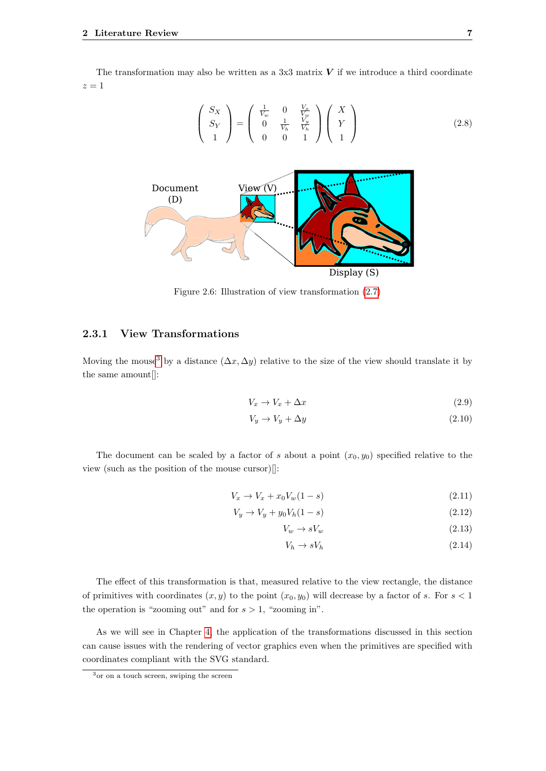The transformation may also be written as a 3x3 matrix  $V$  if we introduce a third coordinate  $z=1$ 

$$
\begin{pmatrix} S_X \\ S_Y \\ 1 \end{pmatrix} = \begin{pmatrix} \frac{1}{V_w} & 0 & \frac{V_x}{V_w} \\ 0 & \frac{1}{V_h} & \frac{V_y}{V_h} \\ 0 & 0 & 1 \end{pmatrix} \begin{pmatrix} X \\ Y \\ 1 \end{pmatrix}
$$
 (2.8)

<span id="page-10-2"></span>

Figure 2.6: Illustration of view transformation [\(2.7\)](#page-9-2)

#### <span id="page-10-0"></span>2.3.1 View Transformations

Moving the mouse<sup>[3](#page-10-3)</sup> by a distance  $(\Delta x, \Delta y)$  relative to the size of the view should translate it by the same amount[]:

$$
V_x \to V_x + \Delta x \tag{2.9}
$$

$$
V_y \to V_y + \Delta y \tag{2.10}
$$

The document can be scaled by a factor of s about a point  $(x_0, y_0)$  specified relative to the view (such as the position of the mouse cursor)[]:

$$
V_x \to V_x + x_0 V_w (1 - s) \tag{2.11}
$$

$$
V_y \to V_y + y_0 V_h (1 - s) \tag{2.12}
$$

$$
V_w \to sV_w \tag{2.13}
$$

$$
V_h \to sV_h \tag{2.14}
$$

The effect of this transformation is that, measured relative to the view rectangle, the distance of primitives with coordinates  $(x, y)$  to the point  $(x_0, y_0)$  will decrease by a factor of s. For  $s < 1$ the operation is "zooming out" and for  $s > 1$ , "zooming in".

As we will see in Chapter [4,](#page-24-0) the application of the transformations discussed in this section can cause issues with the rendering of vector graphics even when the primitives are specified with coordinates compliant with the SVG standard.

<span id="page-10-3"></span><span id="page-10-1"></span><sup>3</sup>or on a touch screen, swiping the screen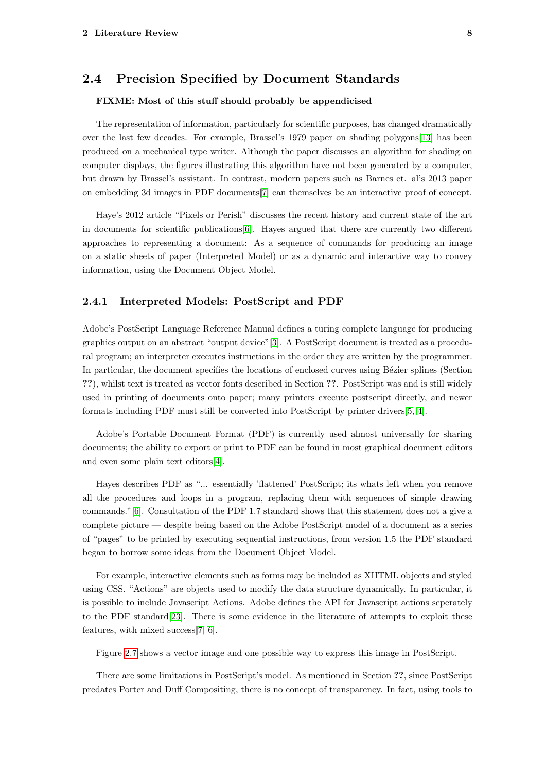### 2.4 Precision Specified by Document Standards

#### FIXME: Most of this stuff should probably be appendicised

The representation of information, particularly for scientific purposes, has changed dramatically over the last few decades. For example, Brassel's 1979 paper on shading polygons[\[13\]](#page-30-13) has been produced on a mechanical type writer. Although the paper discusses an algorithm for shading on computer displays, the figures illustrating this algorithm have not been generated by a computer, but drawn by Brassel's assistant. In contrast, modern papers such as Barnes et. al's 2013 paper on embedding 3d images in PDF documents[\[7\]](#page-30-7) can themselves be an interactive proof of concept.

Haye's 2012 article "Pixels or Perish" discusses the recent history and current state of the art in documents for scientific publications[\[6\]](#page-30-6). Hayes argued that there are currently two different approaches to representing a document: As a sequence of commands for producing an image on a static sheets of paper (Interpreted Model) or as a dynamic and interactive way to convey information, using the Document Object Model.

#### <span id="page-11-0"></span>2.4.1 Interpreted Models: PostScript and PDF

Adobe's PostScript Language Reference Manual defines a turing complete language for producing graphics output on an abstract "output device"[\[3\]](#page-30-3). A PostScript document is treated as a procedural program; an interpreter executes instructions in the order they are written by the programmer. In particular, the document specifies the locations of enclosed curves using Bézier splines (Section ??), whilst text is treated as vector fonts described in Section ??. PostScript was and is still widely used in printing of documents onto paper; many printers execute postscript directly, and newer formats including PDF must still be converted into PostScript by printer drivers[\[5,](#page-30-5) [4\]](#page-30-4).

Adobe's Portable Document Format (PDF) is currently used almost universally for sharing documents; the ability to export or print to PDF can be found in most graphical document editors and even some plain text editors[\[4\]](#page-30-4).

Hayes describes PDF as "... essentially 'flattened' PostScript; its whats left when you remove all the procedures and loops in a program, replacing them with sequences of simple drawing commands."[\[6\]](#page-30-6). Consultation of the PDF 1.7 standard shows that this statement does not a give a complete picture — despite being based on the Adobe PostScript model of a document as a series of "pages" to be printed by executing sequential instructions, from version 1.5 the PDF standard began to borrow some ideas from the Document Object Model.

For example, interactive elements such as forms may be included as XHTML objects and styled using CSS. "Actions" are objects used to modify the data structure dynamically. In particular, it is possible to include Javascript Actions. Adobe defines the API for Javascript actions seperately to the PDF standard[\[23\]](#page-31-5). There is some evidence in the literature of attempts to exploit these features, with mixed success[\[7,](#page-30-7) [6\]](#page-30-6).

Figure [2.7](#page-12-1) shows a vector image and one possible way to express this image in PostScript.

There are some limitations in PostScript's model. As mentioned in Section ??, since PostScript predates Porter and Duff Compositing, there is no concept of transparency. In fact, using tools to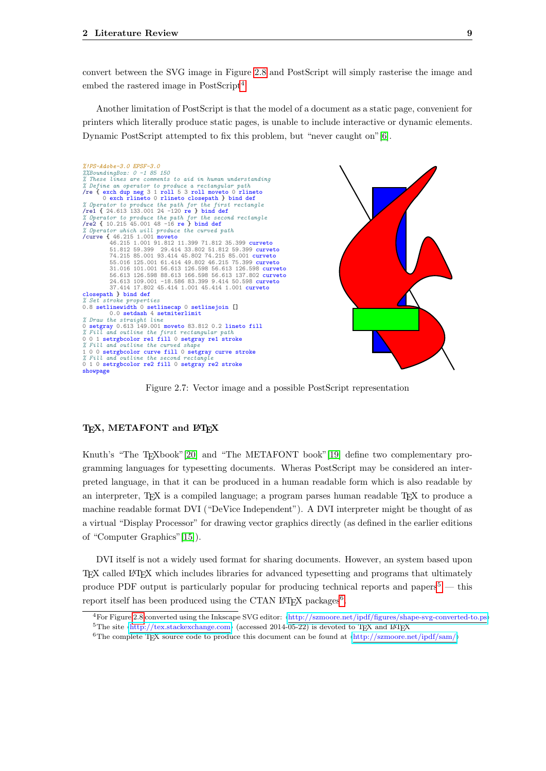convert between the SVG image in Figure [2.8](#page-14-0) and PostScript will simply rasterise the image and embed the rastered image in PostScript<sup>[4](#page-12-2)</sup>

Another limitation of PostScript is that the model of a document as a static page, convenient for printers which literally produce static pages, is unable to include interactive or dynamic elements. Dynamic PostScript attempted to fix this problem, but "never caught on"[\[6\]](#page-30-6).

<span id="page-12-1"></span>

Figure 2.7: Vector image and a possible PostScript representation

#### TEX, METAFONT and LATEX

Knuth's "The T<sub>E</sub>Xbook"[\[20\]](#page-31-2) and "The METAFONT book"[\[19\]](#page-31-1) define two complementary programming languages for typesetting documents. Wheras PostScript may be considered an interpreted language, in that it can be produced in a human readable form which is also readable by an interpreter, TFX is a compiled language; a program parses human readable TFX to produce a machine readable format DVI ("DeVice Independent"). A DVI interpreter might be thought of as a virtual "Display Processor" for drawing vector graphics directly (as defined in the earlier editions of "Computer Graphics"[\[15\]](#page-30-15)).

DVI itself is not a widely used format for sharing documents. However, an system based upon TEX called LATEX which includes libraries for advanced typesetting and programs that ultimately produce PDF output is particularly popular for producing technical reports and papers<sup>[5](#page-12-3)</sup> — this report itself has been produced using the CTAN IAT<sub>E</sub>X packages<sup>[6](#page-12-4)</sup>.

<span id="page-12-3"></span><span id="page-12-2"></span><span id="page-12-0"></span><sup>&</sup>lt;sup>4</sup>For Figure [2.8](#page-14-0) converted using the Inkscape SVG editor:  $\hbar t$ . <http://szmoore.net/ipdf/figures/shape-svg-converted-to.ps>) <sup>5</sup>The site  $\langle \text{http://tex.stackexchange.com}\rangle$  $\langle \text{http://tex.stackexchange.com}\rangle$  $\langle \text{http://tex.stackexchange.com}\rangle$  (accessed 2014-05-22) is devoted to TFX and LATEX

<span id="page-12-4"></span><sup>&</sup>lt;sup>6</sup>The complete T<sub>E</sub>X source code to produce this document can be found at  $\langle \text{http://szmoore.net/ipdf/sam/}\rangle$  $\langle \text{http://szmoore.net/ipdf/sam/}\rangle$  $\langle \text{http://szmoore.net/ipdf/sam/}\rangle$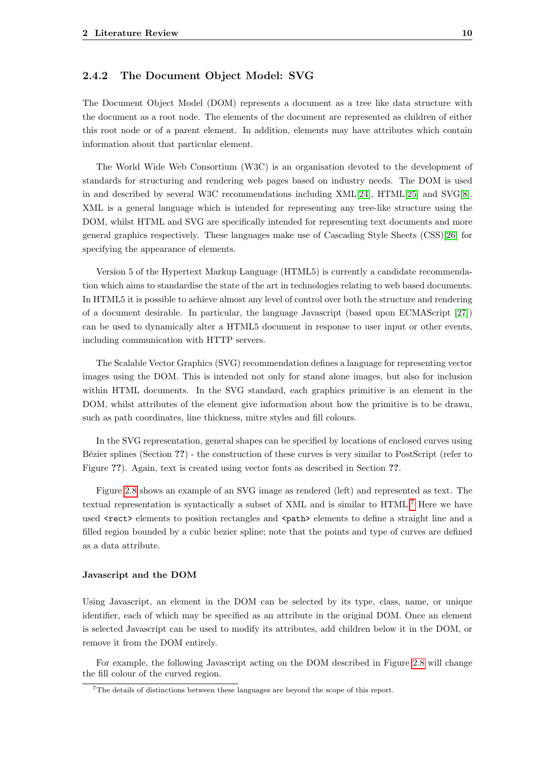#### 2.4.2 The Document Object Model: SVG

The Document Object Model (DOM) represents a document as a tree like data structure with the document as a root node. The elements of the document are represented as children of either this root node or of a parent element. In addition, elements may have attributes which contain information about that particular element.

The World Wide Web Consortium (W3C) is an organisation devoted to the development of standards for structuring and rendering web pages based on industry needs. The DOM is used in and described by several W3C recommendations including XML[\[24\]](#page-31-6), HTML[\[25\]](#page-31-7) and SVG[\[8\]](#page-30-8). XML is a general language which is intended for representing any tree-like structure using the DOM, whilst HTML and SVG are specifically intended for representing text documents and more general graphics respectively. These languages make use of Cascading Style Sheets (CSS)[\[26\]](#page-31-8) for specifying the appearance of elements.

Version 5 of the Hypertext Markup Language (HTML5) is currently a candidate recommendation which aims to standardise the state of the art in technologies relating to web based documents. In HTML5 it is possible to achieve almost any level of control over both the structure and rendering of a document desirable. In particular, the language Javascript (based upon ECMAScript [\[27\]](#page-31-9)) can be used to dynamically alter a HTML5 document in response to user input or other events, including communication with HTTP servers.

The Scalable Vector Graphics (SVG) recommendation defines a language for representing vector images using the DOM. This is intended not only for stand alone images, but also for inclusion within HTML documents. In the SVG standard, each graphics primitive is an element in the DOM, whilst attributes of the element give information about how the primitive is to be drawn, such as path coordinates, line thickness, mitre styles and fill colours.

In the SVG representation, general shapes can be specified by locations of enclosed curves using Bézier splines (Section ??) - the construction of these curves is very similar to PostScript (refer to Figure ??). Again, text is created using vector fonts as described in Section ??.

Figure [2.8](#page-14-0) shows an example of an SVG image as rendered (left) and represented as text. The textual representation is syntactically a subset of XML and is similar to HTML.[7](#page-13-0) Here we have used <rect> elements to position rectangles and <path> elements to define a straight line and a filled region bounded by a cubic bezier spline; note that the points and type of curves are defined as a data attribute.

#### Javascript and the DOM

Using Javascript, an element in the DOM can be selected by its type, class, name, or unique identifier, each of which may be specified as an attribute in the original DOM. Once an element is selected Javascript can be used to modify its attributes, add children below it in the DOM, or remove it from the DOM entirely.

For example, the following Javascript acting on the DOM described in Figure [2.8](#page-14-0) will change the fill colour of the curved region.

<span id="page-13-0"></span><sup>7</sup>The details of distinctions between these languages are beyond the scope of this report.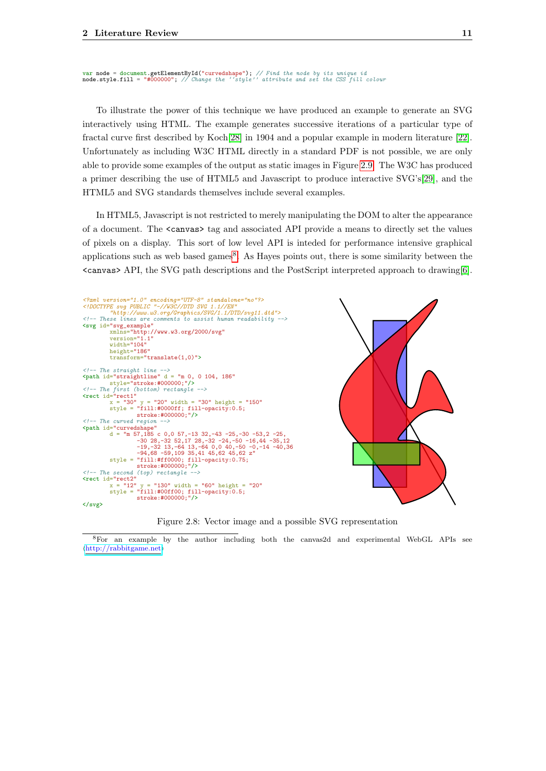```
var node = document.getElementById("curvedshape"); // Find the node by its unique id<br>node.style.fill = "#000000"; // Change the ''style'' attribute and set the CSS fill colour
```
To illustrate the power of this technique we have produced an example to generate an SVG interactively using HTML. The example generates successive iterations of a particular type of fractal curve first described by Koch[\[28\]](#page-31-10) in 1904 and a popular example in modern literature [\[22\]](#page-31-4). Unfortunately as including W3C HTML directly in a standard PDF is not possible, we are only able to provide some examples of the output as static images in Figure [2.9.](#page-15-5) The W3C has produced a primer describing the use of HTML5 and Javascript to produce interactive SVG's[\[29\]](#page-31-11), and the HTML5 and SVG standards themselves include several examples.

In HTML5, Javascript is not restricted to merely manipulating the DOM to alter the appearance of a document. The <canvas> tag and associated API provide a means to directly set the values of pixels on a display. This sort of low level API is inteded for performance intensive graphical applications such as web based games<sup>[8](#page-14-1)</sup>. As Hayes points out, there is some similarity between the <canvas> API, the SVG path descriptions and the PostScript interpreted approach to drawing[\[6\]](#page-30-6).

<span id="page-14-0"></span>

Figure 2.8: Vector image and a possible SVG representation

<span id="page-14-1"></span><sup>8</sup>For an example by the author including both the canvas2d and experimental WebGL APIs see  $\langle$ <http://rabbitgame.net> $\rangle$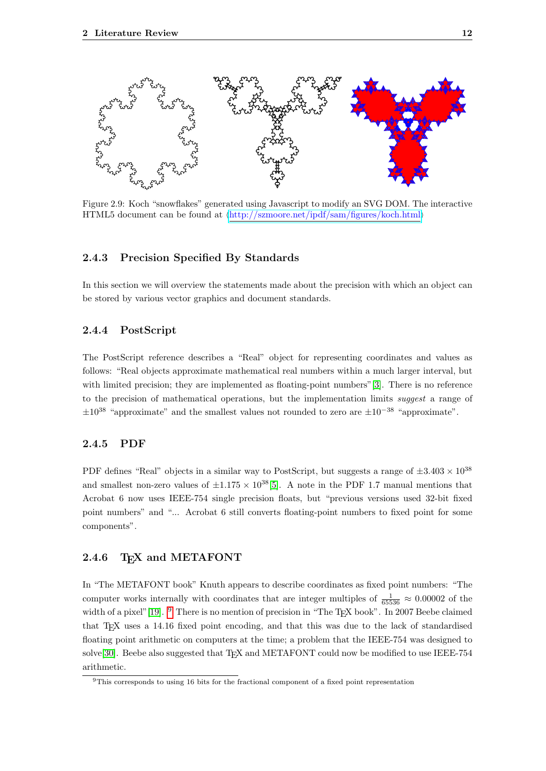<span id="page-15-5"></span>

Figure 2.9: Koch "snowflakes" generated using Javascript to modify an SVG DOM. The interactive HTML5 document can be found at  $\langle \text{http://szmoore.net/ipdf/sam/figures/koch.html} \rangle$  $\langle \text{http://szmoore.net/ipdf/sam/figures/koch.html} \rangle$  $\langle \text{http://szmoore.net/ipdf/sam/figures/koch.html} \rangle$ 

#### <span id="page-15-0"></span>2.4.3 Precision Specified By Standards

<span id="page-15-1"></span>In this section we will overview the statements made about the precision with which an object can be stored by various vector graphics and document standards.

#### 2.4.4 PostScript

The PostScript reference describes a "Real" object for representing coordinates and values as follows: "Real objects approximate mathematical real numbers within a much larger interval, but with limited precision; they are implemented as floating-point numbers"[\[3\]](#page-30-3). There is no reference to the precision of mathematical operations, but the implementation limits suggest a range of  $\pm 10^{38}$  "approximate" and the smallest values not rounded to zero are  $\pm 10^{-38}$  "approximate".

#### <span id="page-15-2"></span>2.4.5 PDF

PDF defines "Real" objects in a similar way to PostScript, but suggests a range of  $\pm 3.403 \times 10^{38}$ and smallest non-zero values of  $\pm 1.175 \times 10^{38}$ [\[5\]](#page-30-5). A note in the PDF 1.7 manual mentions that Acrobat 6 now uses IEEE-754 single precision floats, but "previous versions used 32-bit fixed point numbers" and "... Acrobat 6 still converts floating-point numbers to fixed point for some components".

#### <span id="page-15-3"></span>2.4.6 TFX and METAFONT

In "The METAFONT book" Knuth appears to describe coordinates as fixed point numbers: "The computer works internally with coordinates that are integer multiples of  $\frac{1}{65536} \approx 0.00002$  of the width of a pixel"[\[19\]](#page-31-1). <sup>[9](#page-15-6)</sup> There is no mention of precision in "The T<sub>E</sub>X book". In 2007 Beebe claimed that T<sub>EX</sub> uses a 14.16 fixed point encoding, and that this was due to the lack of standardised floating point arithmetic on computers at the time; a problem that the IEEE-754 was designed to solve<sup>[\[30\]](#page-31-12)</sup>. Beebe also suggested that T<sub>E</sub>X and METAFONT could now be modified to use IEEE-754 arithmetic.

<span id="page-15-6"></span><span id="page-15-4"></span><sup>9</sup>This corresponds to using 16 bits for the fractional component of a fixed point representation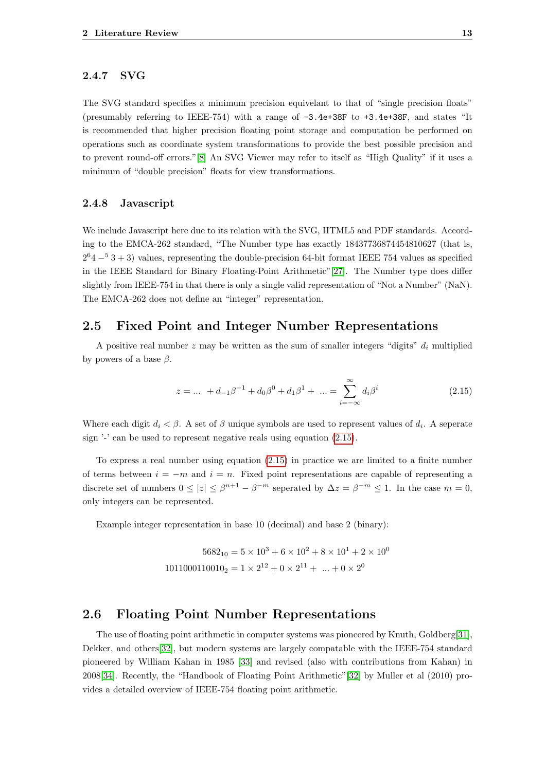#### 2.4.7 SVG

The SVG standard specifies a minimum precision equivelant to that of "single precision floats" (presumably referring to IEEE-754) with a range of -3.4e+38F to +3.4e+38F, and states "It is recommended that higher precision floating point storage and computation be performed on operations such as coordinate system transformations to provide the best possible precision and to prevent round-off errors."[\[8\]](#page-30-8) An SVG Viewer may refer to itself as "High Quality" if it uses a minimum of "double precision" floats for view transformations.

#### <span id="page-16-0"></span>2.4.8 Javascript

We include Javascript here due to its relation with the SVG, HTML5 and PDF standards. According to the EMCA-262 standard, "The Number type has exactly 18437736874454810627 (that is,  $2^{6}4 - 53 + 3$ ) values, representing the double-precision 64-bit format IEEE 754 values as specified in the IEEE Standard for Binary Floating-Point Arithmetic"[\[27\]](#page-31-9). The Number type does differ slightly from IEEE-754 in that there is only a single valid representation of "Not a Number" (NaN). The EMCA-262 does not define an "integer" representation.

### <span id="page-16-1"></span>2.5 Fixed Point and Integer Number Representations

A positive real number  $z$  may be written as the sum of smaller integers "digits"  $d_i$  multiplied by powers of a base  $\beta$ .

<span id="page-16-3"></span>
$$
z = \dots + d_{-1}\beta^{-1} + d_0\beta^0 + d_1\beta^1 + \dots = \sum_{i=-\infty}^{\infty} d_i\beta^i
$$
 (2.15)

Where each digit  $d_i < \beta$ . A set of  $\beta$  unique symbols are used to represent values of  $d_i$ . A seperate sign '-' can be used to represent negative reals using equation [\(2.15\)](#page-16-3).

To express a real number using equation [\(2.15\)](#page-16-3) in practice we are limited to a finite number of terms between  $i = -m$  and  $i = n$ . Fixed point representations are capable of representing a discrete set of numbers  $0 \le |z| \le \beta^{n+1} - \beta^{-m}$  seperated by  $\Delta z = \beta^{-m} \le 1$ . In the case  $m = 0$ , only integers can be represented.

Example integer representation in base 10 (decimal) and base 2 (binary):

$$
5682_{10} = 5 \times 10^3 + 6 \times 10^2 + 8 \times 10^1 + 2 \times 10^0
$$
  
1011000110010<sub>2</sub> = 1 × 2<sup>12</sup> + 0 × 2<sup>11</sup> + ... + 0 × 2<sup>0</sup>

#### <span id="page-16-2"></span>2.6 Floating Point Number Representations

The use of floating point arithmetic in computer systems was pioneered by Knuth, Goldberg[\[31\]](#page-31-13), Dekker, and others[\[32\]](#page-31-14), but modern systems are largely compatable with the IEEE-754 standard pioneered by William Kahan in 1985 [\[33\]](#page-31-15) and revised (also with contributions from Kahan) in 2008[\[34\]](#page-31-16). Recently, the "Handbook of Floating Point Arithmetic"[\[32\]](#page-31-14) by Muller et al (2010) provides a detailed overview of IEEE-754 floating point arithmetic.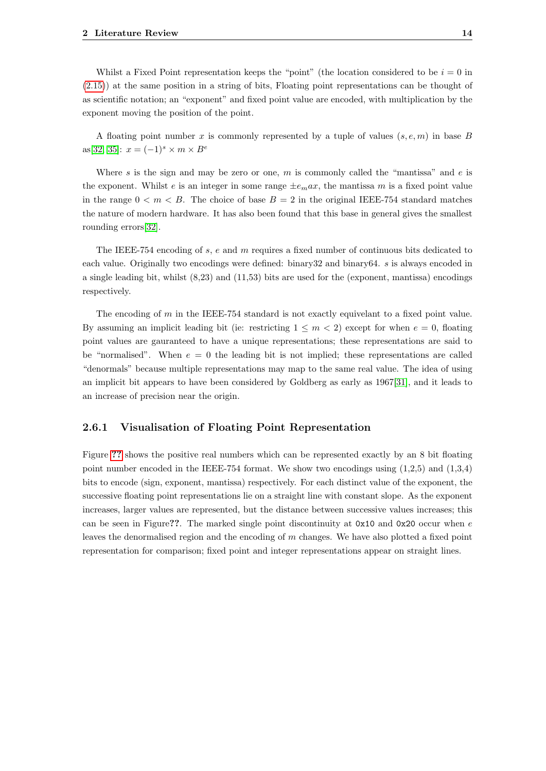Whilst a Fixed Point representation keeps the "point" (the location considered to be  $i = 0$  in [\(2.15\)](#page-16-3)) at the same position in a string of bits, Floating point representations can be thought of as scientific notation; an "exponent" and fixed point value are encoded, with multiplication by the exponent moving the position of the point.

A floating point number x is commonly represented by a tuple of values  $(s, e, m)$  in base B as[\[32,](#page-31-14) [35\]](#page-31-17):  $x = (-1)^s \times m \times B^e$ 

Where s is the sign and may be zero or one, m is commonly called the "mantissa" and  $e$  is the exponent. Whilst e is an integer in some range  $\pm e_{m}ax$ , the mantissa m is a fixed point value in the range  $0 < m < B$ . The choice of base  $B = 2$  in the original IEEE-754 standard matches the nature of modern hardware. It has also been found that this base in general gives the smallest rounding errors[\[32\]](#page-31-14).

The IEEE-754 encoding of s, e and m requires a fixed number of continuous bits dedicated to each value. Originally two encodings were defined: binary32 and binary64. s is always encoded in a single leading bit, whilst (8,23) and (11,53) bits are used for the (exponent, mantissa) encodings respectively.

The encoding of m in the IEEE-754 standard is not exactly equivelant to a fixed point value. By assuming an implicit leading bit (ie: restricting  $1 \le m \le 2$ ) except for when  $e = 0$ , floating point values are gauranteed to have a unique representations; these representations are said to be "normalised". When  $e = 0$  the leading bit is not implied; these representations are called "denormals" because multiple representations may map to the same real value. The idea of using an implicit bit appears to have been considered by Goldberg as early as 1967[\[31\]](#page-31-13), and it leads to an increase of precision near the origin.

#### <span id="page-17-0"></span>2.6.1 Visualisation of Floating Point Representation

Figure [??](#page-18-1) shows the positive real numbers which can be represented exactly by an 8 bit floating point number encoded in the IEEE-754 format. We show two encodings using  $(1,2,5)$  and  $(1,3,4)$ bits to encode (sign, exponent, mantissa) respectively. For each distinct value of the exponent, the successive floating point representations lie on a straight line with constant slope. As the exponent increases, larger values are represented, but the distance between successive values increases; this can be seen in Figure??. The marked single point discontinuity at  $0x10$  and  $0x20$  occur when e leaves the denormalised region and the encoding of m changes. We have also plotted a fixed point representation for comparison; fixed point and integer representations appear on straight lines.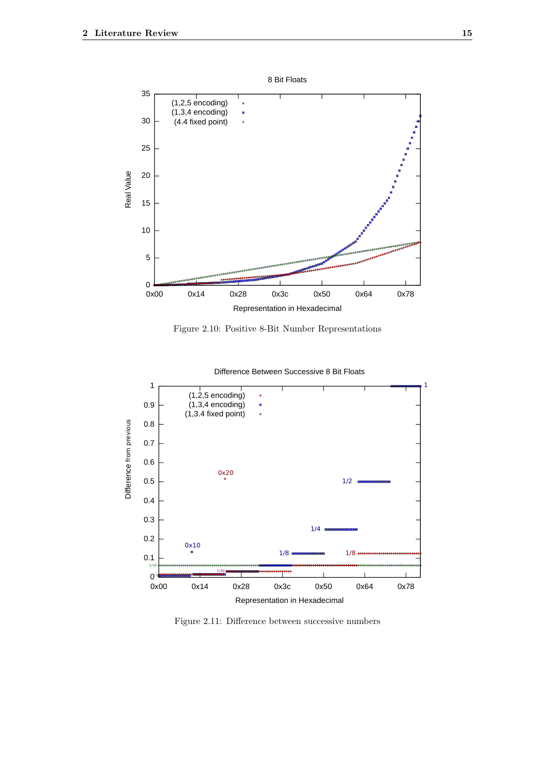<span id="page-18-1"></span>

Figure 2.10: Positive 8-Bit Number Representations

<span id="page-18-2"></span>

Difference Between Successive 8 Bit Floats

<span id="page-18-0"></span>Figure 2.11: Difference between successive numbers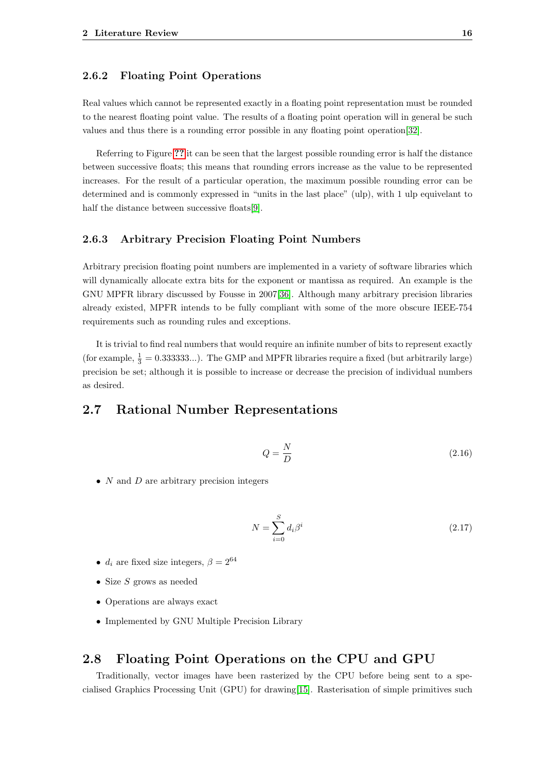#### 2.6.2 Floating Point Operations

Real values which cannot be represented exactly in a floating point representation must be rounded to the nearest floating point value. The results of a floating point operation will in general be such values and thus there is a rounding error possible in any floating point operation[\[32\]](#page-31-14).

Referring to Figure [??](#page-18-1) it can be seen that the largest possible rounding error is half the distance between successive floats; this means that rounding errors increase as the value to be represented increases. For the result of a particular operation, the maximum possible rounding error can be determined and is commonly expressed in "units in the last place" (ulp), with 1 ulp equivelant to half the distance between successive floats[\[9\]](#page-30-9).

#### <span id="page-19-0"></span>2.6.3 Arbitrary Precision Floating Point Numbers

Arbitrary precision floating point numbers are implemented in a variety of software libraries which will dynamically allocate extra bits for the exponent or mantissa as required. An example is the GNU MPFR library discussed by Fousse in 2007[\[36\]](#page-31-18). Although many arbitrary precision libraries already existed, MPFR intends to be fully compliant with some of the more obscure IEEE-754 requirements such as rounding rules and exceptions.

It is trivial to find real numbers that would require an infinite number of bits to represent exactly (for example,  $\frac{1}{3} = 0.333333...$ ). The GMP and MPFR libraries require a fixed (but arbitrarily large) precision be set; although it is possible to increase or decrease the precision of individual numbers as desired.

# <span id="page-19-1"></span>2.7 Rational Number Representations

$$
Q = \frac{N}{D} \tag{2.16}
$$

•  $N$  and  $D$  are arbitrary precision integers

$$
N = \sum_{i=0}^{S} d_i \beta^i
$$
\n
$$
(2.17)
$$

- $d_i$  are fixed size integers,  $\beta = 2^{64}$
- Size  $S$  grows as needed
- Operations are always exact
- <span id="page-19-2"></span>• Implemented by GNU Multiple Precision Library

### 2.8 Floating Point Operations on the CPU and GPU

Traditionally, vector images have been rasterized by the CPU before being sent to a specialised Graphics Processing Unit (GPU) for drawing[\[15\]](#page-30-15). Rasterisation of simple primitives such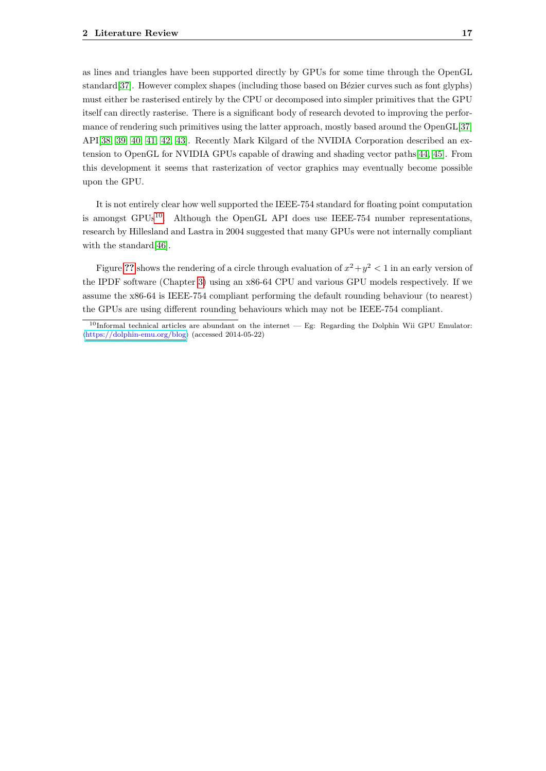as lines and triangles have been supported directly by GPUs for some time through the OpenGL standard[\[37\]](#page-31-19). However complex shapes (including those based on Bézier curves such as font glyphs) must either be rasterised entirely by the CPU or decomposed into simpler primitives that the GPU itself can directly rasterise. There is a significant body of research devoted to improving the performance of rendering such primitives using the latter approach, mostly based around the OpenGL[\[37\]](#page-31-19) API[\[38,](#page-32-0) [39,](#page-32-1) [40,](#page-32-2) [41,](#page-32-3) [42,](#page-32-4) [43\]](#page-32-5). Recently Mark Kilgard of the NVIDIA Corporation described an extension to OpenGL for NVIDIA GPUs capable of drawing and shading vector paths[\[44,](#page-32-6) [45\]](#page-32-7). From this development it seems that rasterization of vector graphics may eventually become possible upon the GPU.

It is not entirely clear how well supported the IEEE-754 standard for floating point computation is amongst GPUs<sup>[10](#page-20-0)</sup>. Although the OpenGL API does use IEEE-754 number representations, research by Hillesland and Lastra in 2004 suggested that many GPUs were not internally compliant with the standard [\[46\]](#page-32-8).

Figure [??](#page-21-0) shows the rendering of a circle through evaluation of  $x^2 + y^2 < 1$  in an early version of the IPDF software (Chapter [3\)](#page-22-0) using an x86-64 CPU and various GPU models respectively. If we assume the x86-64 is IEEE-754 compliant performing the default rounding behaviour (to nearest) the GPUs are using different rounding behaviours which may not be IEEE-754 compliant.

<span id="page-20-0"></span> $10$ Informal technical articles are abundant on the internet — Eg: Regarding the Dolphin Wii GPU Emulator:  $\langle$ <https://dolphin-emu.org/blog> $\rangle$  (accessed 2014-05-22)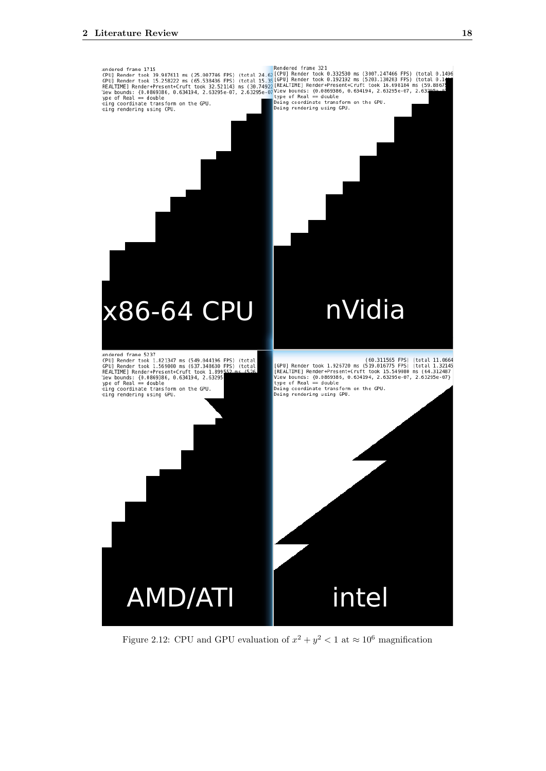<span id="page-21-0"></span>

Figure 2.12: CPU and GPU evaluation of  $x^2 + y^2 < 1$  at  $\approx 10^6$  magnification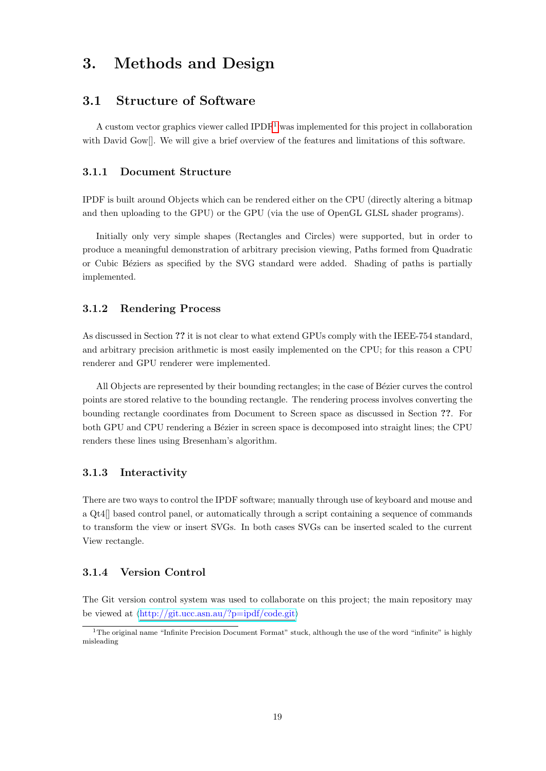# <span id="page-22-0"></span>3. Methods and Design

# <span id="page-22-1"></span>3.1 Structure of Software

A custom vector graphics viewer called  $IPDF<sup>1</sup>$  $IPDF<sup>1</sup>$  $IPDF<sup>1</sup>$  was implemented for this project in collaboration with David Gow[]. We will give a brief overview of the features and limitations of this software.

#### <span id="page-22-2"></span>3.1.1 Document Structure

IPDF is built around Objects which can be rendered either on the CPU (directly altering a bitmap and then uploading to the GPU) or the GPU (via the use of OpenGL GLSL shader programs).

Initially only very simple shapes (Rectangles and Circles) were supported, but in order to produce a meaningful demonstration of arbitrary precision viewing, Paths formed from Quadratic or Cubic B´eziers as specified by the SVG standard were added. Shading of paths is partially implemented.

#### <span id="page-22-3"></span>3.1.2 Rendering Process

As discussed in Section ?? it is not clear to what extend GPUs comply with the IEEE-754 standard, and arbitrary precision arithmetic is most easily implemented on the CPU; for this reason a CPU renderer and GPU renderer were implemented.

All Objects are represented by their bounding rectangles; in the case of Bézier curves the control points are stored relative to the bounding rectangle. The rendering process involves converting the bounding rectangle coordinates from Document to Screen space as discussed in Section ??. For both GPU and CPU rendering a Bézier in screen space is decomposed into straight lines; the CPU renders these lines using Bresenham's algorithm.

#### <span id="page-22-4"></span>3.1.3 Interactivity

There are two ways to control the IPDF software; manually through use of keyboard and mouse and a Qt4[] based control panel, or automatically through a script containing a sequence of commands to transform the view or insert SVGs. In both cases SVGs can be inserted scaled to the current View rectangle.

#### <span id="page-22-5"></span>3.1.4 Version Control

The Git version control system was used to collaborate on this project; the main repository may be viewed at  $\langle$ <http://git.ucc.asn.au/?p=ipdf/code.git> $\rangle$ 

<span id="page-22-7"></span><span id="page-22-6"></span><sup>&</sup>lt;sup>1</sup>The original name "Infinite Precision Document Format" stuck, although the use of the word "infinite" is highly misleading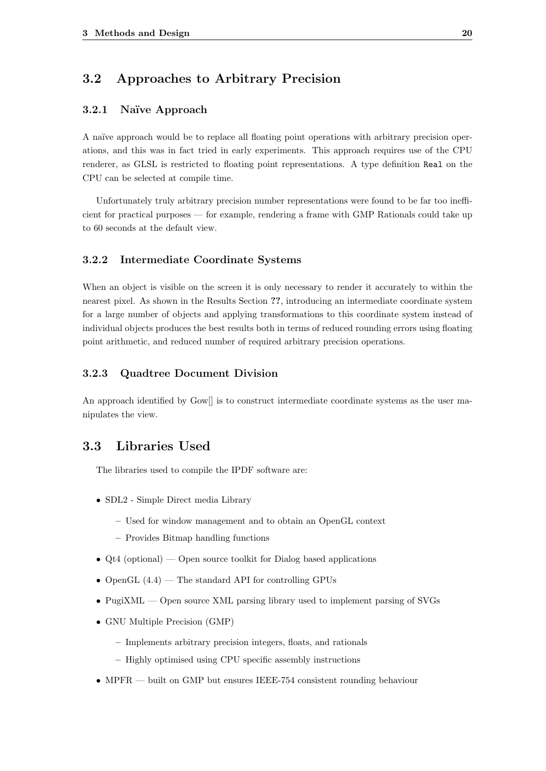# 3.2 Approaches to Arbitrary Precision

### <span id="page-23-0"></span>3.2.1 Naïve Approach

A naïve approach would be to replace all floating point operations with arbitrary precision operations, and this was in fact tried in early experiments. This approach requires use of the CPU renderer, as GLSL is restricted to floating point representations. A type definition Real on the CPU can be selected at compile time.

Unfortunately truly arbitrary precision number representations were found to be far too inefficient for practical purposes — for example, rendering a frame with GMP Rationals could take up to 60 seconds at the default view.

#### <span id="page-23-1"></span>3.2.2 Intermediate Coordinate Systems

When an object is visible on the screen it is only necessary to render it accurately to within the nearest pixel. As shown in the Results Section ??, introducing an intermediate coordinate system for a large number of objects and applying transformations to this coordinate system instead of individual objects produces the best results both in terms of reduced rounding errors using floating point arithmetic, and reduced number of required arbitrary precision operations.

#### <span id="page-23-2"></span>3.2.3 Quadtree Document Division

An approach identified by Gow<sup>[]</sup> is to construct intermediate coordinate systems as the user manipulates the view.

## <span id="page-23-3"></span>3.3 Libraries Used

The libraries used to compile the IPDF software are:

- SDL2 Simple Direct media Library
	- Used for window management and to obtain an OpenGL context
	- Provides Bitmap handling functions
- Qt4 (optional) Open source toolkit for Dialog based applications
- OpenGL  $(4.4)$  The standard API for controlling GPUs
- PugiXML Open source XML parsing library used to implement parsing of SVGs
- GNU Multiple Precision (GMP)
	- Implements arbitrary precision integers, floats, and rationals
	- Highly optimised using CPU specific assembly instructions
- MPFR built on GMP but ensures IEEE-754 consistent rounding behaviour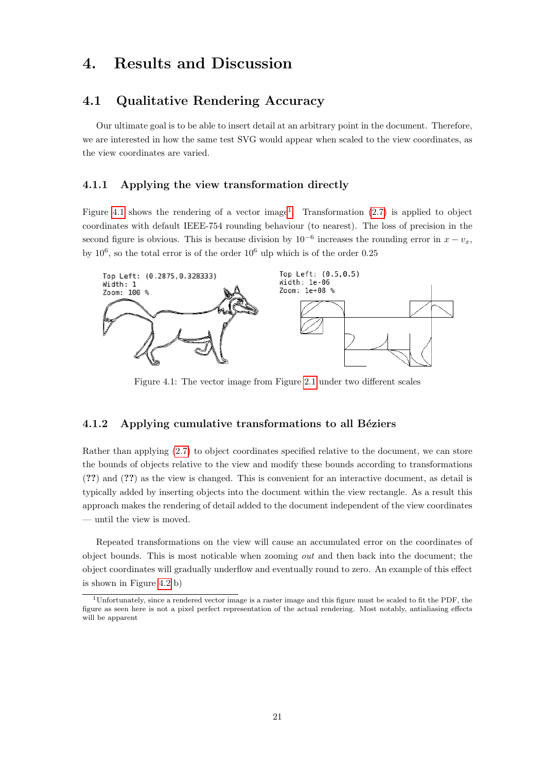# <span id="page-24-0"></span>4. Results and Discussion

## <span id="page-24-1"></span>4.1 Qualitative Rendering Accuracy

Our ultimate goal is to be able to insert detail at an arbitrary point in the document. Therefore, we are interested in how the same test SVG would appear when scaled to the view coordinates, as the view coordinates are varied.

#### <span id="page-24-2"></span>4.1.1 Applying the view transformation directly

Figure [4.1](#page-24-4) shows the rendering of a vector image<sup>[1](#page-24-5)</sup>. Transformation  $(2.7)$  is applied to object coordinates with default IEEE-754 rounding behaviour (to nearest). The loss of precision in the second figure is obvious. This is because division by  $10^{-6}$  increases the rounding error in  $x - v_x$ , by  $10^6$ , so the total error is of the order  $10^6$  ulp which is of the order 0.25

<span id="page-24-4"></span>

Figure 4.1: The vector image from Figure [2.1](#page-5-2) under two different scales

#### <span id="page-24-3"></span>4.1.2 Applying cumulative transformations to all Béziers

Rather than applying [\(2.7\)](#page-9-2) to object coordinates specified relative to the document, we can store the bounds of objects relative to the view and modify these bounds according to transformations (??) and (??) as the view is changed. This is convenient for an interactive document, as detail is typically added by inserting objects into the document within the view rectangle. As a result this approach makes the rendering of detail added to the document independent of the view coordinates — until the view is moved.

Repeated transformations on the view will cause an accumulated error on the coordinates of object bounds. This is most noticable when zooming out and then back into the document; the object coordinates will gradually underflow and eventually round to zero. An example of this effect is shown in Figure [4.2](#page-25-2) b)

<span id="page-24-5"></span><sup>1</sup>Unfortunately, since a rendered vector image is a raster image and this figure must be scaled to fit the PDF, the figure as seen here is not a pixel perfect representation of the actual rendering. Most notably, antialiasing effects will be apparent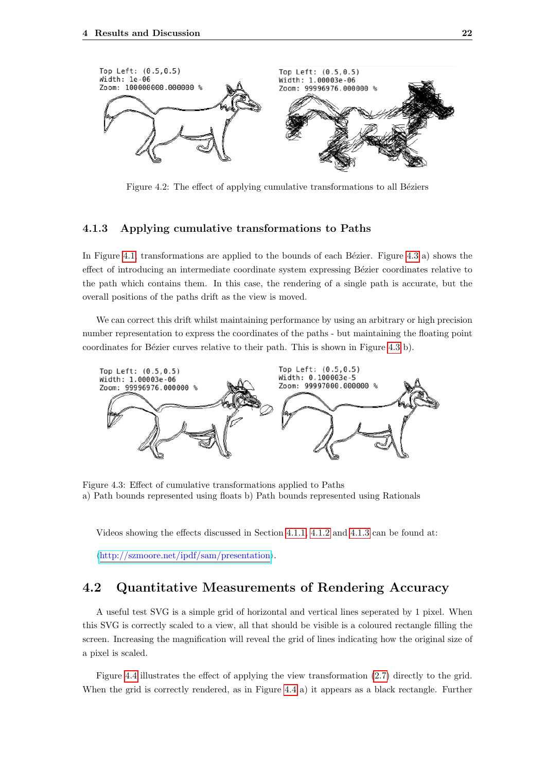<span id="page-25-2"></span>

Figure 4.2: The effect of applying cumulative transformations to all Béziers

#### <span id="page-25-0"></span>4.1.3 Applying cumulative transformations to Paths

In Figure [4.1,](#page-24-4) transformations are applied to the bounds of each Bézier. Figure [4.3](#page-25-3) a) shows the effect of introducing an intermediate coordinate system expressing Bézier coordinates relative to the path which contains them. In this case, the rendering of a single path is accurate, but the overall positions of the paths drift as the view is moved.

We can correct this drift whilst maintaining performance by using an arbitrary or high precision number representation to express the coordinates of the paths - but maintaining the floating point coordinates for Bézier curves relative to their path. This is shown in Figure [4.3](#page-25-3) b).

<span id="page-25-3"></span>

Figure 4.3: Effect of cumulative transformations applied to Paths a) Path bounds represented using floats b) Path bounds represented using Rationals

Videos showing the effects discussed in Section [4.1.1,](#page-24-2) [4.1.2](#page-24-3) and [4.1.3](#page-25-0) can be found at:

<span id="page-25-1"></span> $\langle \frac{http://szmover.net/ipdf/sam/presentation\rangle}{$ .

# 4.2 Quantitative Measurements of Rendering Accuracy

A useful test SVG is a simple grid of horizontal and vertical lines seperated by 1 pixel. When this SVG is correctly scaled to a view, all that should be visible is a coloured rectangle filling the screen. Increasing the magnification will reveal the grid of lines indicating how the original size of a pixel is scaled.

Figure [4.4](#page-26-1) illustrates the effect of applying the view transformation [\(2.7\)](#page-9-2) directly to the grid. When the grid is correctly rendered, as in Figure [4.4](#page-26-1) a) it appears as a black rectangle. Further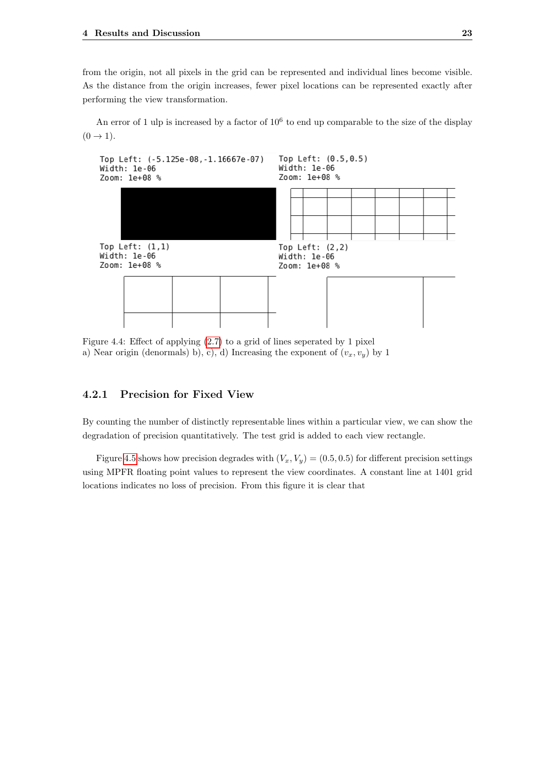from the origin, not all pixels in the grid can be represented and individual lines become visible. As the distance from the origin increases, fewer pixel locations can be represented exactly after performing the view transformation.

An error of 1 ulp is increased by a factor of  $10^6$  to end up comparable to the size of the display  $(0 \rightarrow 1)$ .

<span id="page-26-1"></span>

Figure 4.4: Effect of applying [\(2.7\)](#page-9-2) to a grid of lines seperated by 1 pixel a) Near origin (denormals) b), c), d) Increasing the exponent of  $(v_x, v_y)$  by 1

#### <span id="page-26-0"></span>4.2.1 Precision for Fixed View

By counting the number of distinctly representable lines within a particular view, we can show the degradation of precision quantitatively. The test grid is added to each view rectangle.

Figure [4.5](#page-27-2) shows how precision degrades with  $(V_x, V_y) = (0.5, 0.5)$  for different precision settings using MPFR floating point values to represent the view coordinates. A constant line at 1401 grid locations indicates no loss of precision. From this figure it is clear that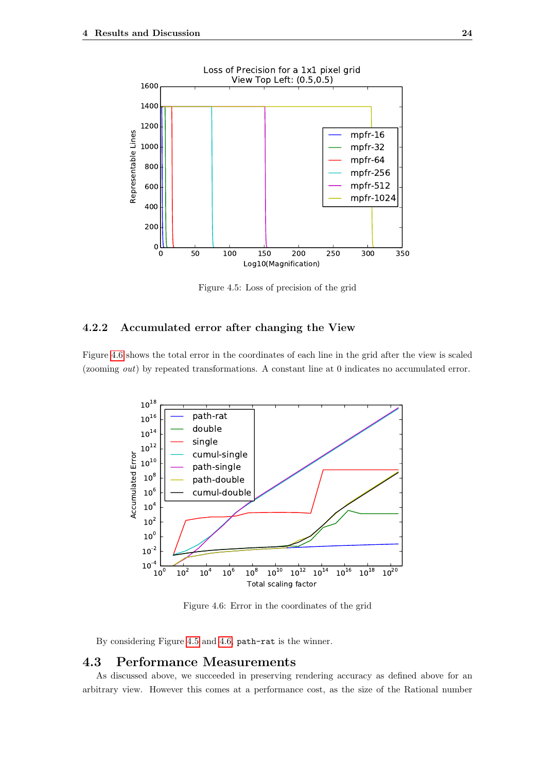<span id="page-27-2"></span>

Figure 4.5: Loss of precision of the grid

#### <span id="page-27-0"></span>4.2.2 Accumulated error after changing the View

<span id="page-27-3"></span>Figure [4.6](#page-27-3) shows the total error in the coordinates of each line in the grid after the view is scaled (zooming out) by repeated transformations. A constant line at 0 indicates no accumulated error.



Figure 4.6: Error in the coordinates of the grid

By considering Figure [4.5](#page-27-2) and [4.6,](#page-27-3) path-rat is the winner.

### <span id="page-27-1"></span>4.3 Performance Measurements

As discussed above, we succeeded in preserving rendering accuracy as defined above for an arbitrary view. However this comes at a performance cost, as the size of the Rational number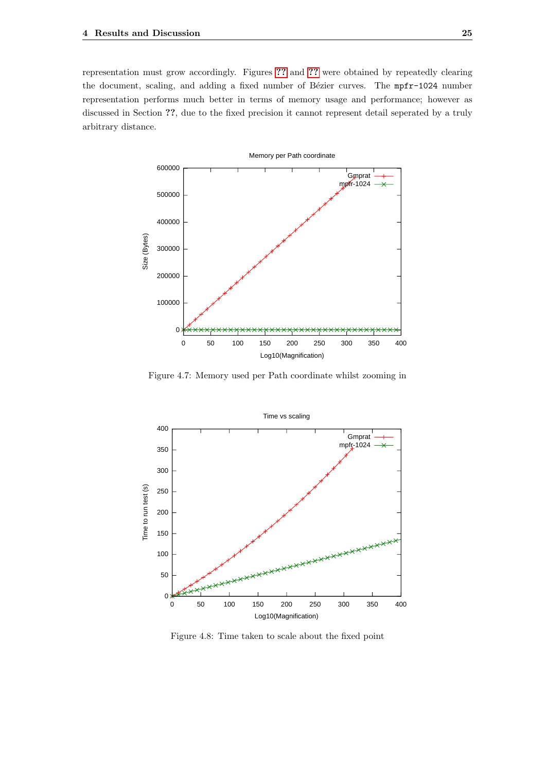representation must grow accordingly. Figures [??](#page-28-0) and [??](#page-28-1) were obtained by repeatedly clearing the document, scaling, and adding a fixed number of Bézier curves. The mpfr-1024 number representation performs much better in terms of memory usage and performance; however as discussed in Section ??, due to the fixed precision it cannot represent detail seperated by a truly arbitrary distance.

<span id="page-28-0"></span>

Figure 4.7: Memory used per Path coordinate whilst zooming in

<span id="page-28-1"></span>

Figure 4.8: Time taken to scale about the fixed point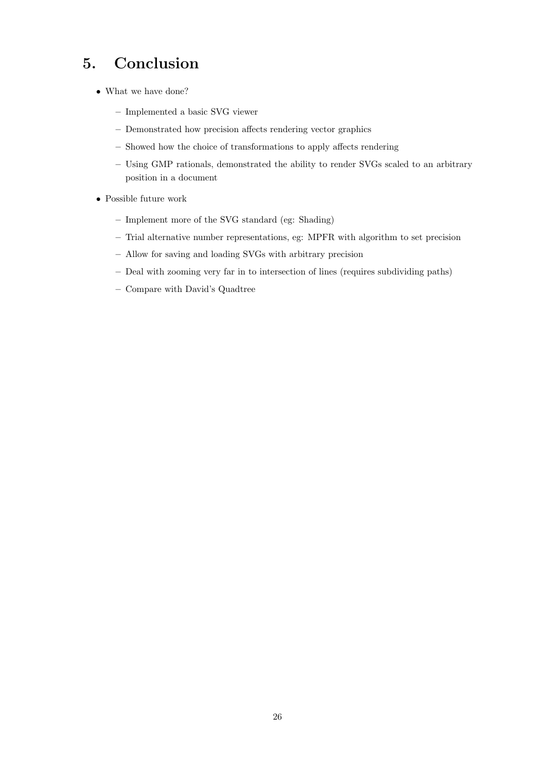# <span id="page-29-0"></span>5. Conclusion

- What we have done?
	- Implemented a basic SVG viewer
	- Demonstrated how precision affects rendering vector graphics
	- Showed how the choice of transformations to apply affects rendering
	- Using GMP rationals, demonstrated the ability to render SVGs scaled to an arbitrary position in a document
- Possible future work
	- Implement more of the SVG standard (eg: Shading)
	- Trial alternative number representations, eg: MPFR with algorithm to set precision
	- Allow for saving and loading SVGs with arbitrary precision
	- Deal with zooming very far in to intersection of lines (requires subdividing paths)
	- Compare with David's Quadtree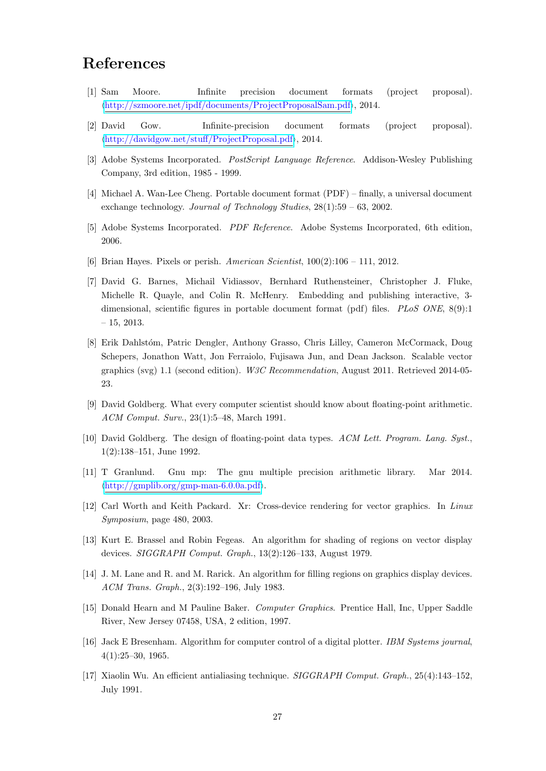# <span id="page-30-2"></span>References

- <span id="page-30-0"></span>[1] Sam Moore. Infinite precision document formats (project proposal).  $\langle \frac{http://szmore.net/ipdf/documents/ProjectProposalSam.pdf}{?}$ , 2014.
- <span id="page-30-1"></span>[2] David Gow. Infinite-precision document formats (project proposal).  $\langle \frac{http://davidgow.net/stuff/ProjectProposal.pdf}{http://davidgow.net/stuff/ProjectProposal.pdf}\rangle$  $\langle \frac{http://davidgow.net/stuff/ProjectProposal.pdf}{http://davidgow.net/stuff/ProjectProposal.pdf}\rangle$  $\langle \frac{http://davidgow.net/stuff/ProjectProposal.pdf}{http://davidgow.net/stuff/ProjectProposal.pdf}\rangle$ , 2014.
- <span id="page-30-3"></span>[3] Adobe Systems Incorporated. *PostScript Language Reference*. Addison-Wesley Publishing Company, 3rd edition, 1985 - 1999.
- <span id="page-30-4"></span>[4] Michael A. Wan-Lee Cheng. Portable document format (PDF) – finally, a universal document exchange technology. Journal of Technology Studies, 28(1):59 – 63, 2002.
- <span id="page-30-5"></span>[5] Adobe Systems Incorporated. PDF Reference. Adobe Systems Incorporated, 6th edition, 2006.
- <span id="page-30-6"></span>[6] Brian Hayes. Pixels or perish. American Scientist,  $100(2):106 - 111$ , 2012.
- <span id="page-30-7"></span>[7] David G. Barnes, Michail Vidiassov, Bernhard Ruthensteiner, Christopher J. Fluke, Michelle R. Quayle, and Colin R. McHenry. Embedding and publishing interactive, 3 dimensional, scientific figures in portable document format (pdf) files. PLoS ONE, 8(9):1 – 15, 2013.
- <span id="page-30-8"></span>[8] Erik Dahlstóm, Patric Dengler, Anthony Grasso, Chris Lilley, Cameron McCormack, Doug Schepers, Jonathon Watt, Jon Ferraiolo, Fujisawa Jun, and Dean Jackson. Scalable vector graphics (svg) 1.1 (second edition). W3C Recommendation, August 2011. Retrieved 2014-05- 23.
- <span id="page-30-9"></span>[9] David Goldberg. What every computer scientist should know about floating-point arithmetic. ACM Comput. Surv., 23(1):5–48, March 1991.
- <span id="page-30-10"></span>[10] David Goldberg. The design of floating-point data types. ACM Lett. Program. Lang. Syst., 1(2):138–151, June 1992.
- <span id="page-30-11"></span>[11] T Granlund. Gnu mp: The gnu multiple precision arithmetic library. Mar 2014.  $\langle \frac{http://gmplib.org/gmp-man-6.0.0a.pdf}{.} \rangle$  $\langle \frac{http://gmplib.org/gmp-man-6.0.0a.pdf}{.} \rangle$  $\langle \frac{http://gmplib.org/gmp-man-6.0.0a.pdf}{.} \rangle$ .
- <span id="page-30-12"></span>[12] Carl Worth and Keith Packard. Xr: Cross-device rendering for vector graphics. In Linux Symposium, page 480, 2003.
- <span id="page-30-13"></span>[13] Kurt E. Brassel and Robin Fegeas. An algorithm for shading of regions on vector display devices. SIGGRAPH Comput. Graph., 13(2):126–133, August 1979.
- <span id="page-30-14"></span>[14] J. M. Lane and R. and M. Rarick. An algorithm for filling regions on graphics display devices. ACM Trans. Graph., 2(3):192–196, July 1983.
- <span id="page-30-15"></span>[15] Donald Hearn and M Pauline Baker. Computer Graphics. Prentice Hall, Inc, Upper Saddle River, New Jersey 07458, USA, 2 edition, 1997.
- <span id="page-30-16"></span>[16] Jack E Bresenham. Algorithm for computer control of a digital plotter. IBM Systems journal, 4(1):25–30, 1965.
- <span id="page-30-17"></span>[17] Xiaolin Wu. An efficient antialiasing technique. SIGGRAPH Comput. Graph., 25(4):143–152, July 1991.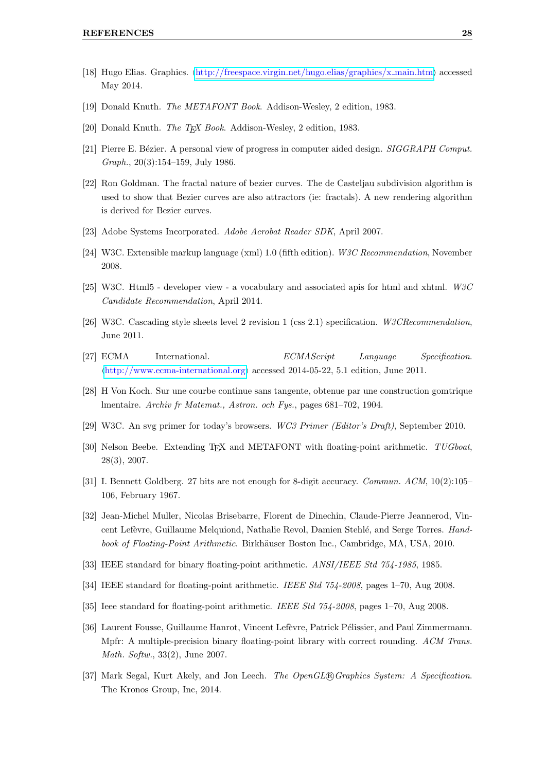- <span id="page-31-0"></span>[18] Hugo Elias. Graphics.  $\langle$ [http://freespace.virgin.net/hugo.elias/graphics/x](http://freespace.virgin.net/hugo.elias/graphics/x_main.htm)\_main.htm} accessed May 2014.
- <span id="page-31-1"></span>[19] Donald Knuth. The METAFONT Book. Addison-Wesley, 2 edition, 1983.
- <span id="page-31-2"></span>[20] Donald Knuth. The T<sub>E</sub>X Book. Addison-Wesley, 2 edition, 1983.
- <span id="page-31-3"></span>[21] Pierre E. Bézier. A personal view of progress in computer aided design. SIGGRAPH Comput. Graph., 20(3):154–159, July 1986.
- <span id="page-31-4"></span>[22] Ron Goldman. The fractal nature of bezier curves. The de Casteljau subdivision algorithm is used to show that Bezier curves are also attractors (ie: fractals). A new rendering algorithm is derived for Bezier curves.
- <span id="page-31-5"></span>[23] Adobe Systems Incorporated. Adobe Acrobat Reader SDK, April 2007.
- <span id="page-31-6"></span>[24] W3C. Extensible markup language (xml) 1.0 (fifth edition). W3C Recommendation, November 2008.
- <span id="page-31-7"></span>[25] W3C. Html5 - developer view - a vocabulary and associated apis for html and xhtml. W3C Candidate Recommendation, April 2014.
- <span id="page-31-8"></span>[26] W3C. Cascading style sheets level 2 revision 1 (css 2.1) specification. W3CRecommendation, June 2011.
- <span id="page-31-9"></span>[27] ECMA International. ECMAScript Language Specification.  $\langle \text{http://www.ecma-international.orgrangle}$  $\langle \text{http://www.ecma-international.orgrangle}$  $\langle \text{http://www.ecma-international.orgrangle}$  accessed 2014-05-22, 5.1 edition, June 2011.
- <span id="page-31-10"></span>[28] H Von Koch. Sur une courbe continue sans tangente, obtenue par une construction gomtrique lmentaire. Archiv fr Matemat., Astron. och Fys., pages 681–702, 1904.
- <span id="page-31-11"></span>[29] W3C. An svg primer for today's browsers. WC3 Primer (Editor's Draft), September 2010.
- <span id="page-31-12"></span>[30] Nelson Beebe. Extending T<sub>EX</sub> and METAFONT with floating-point arithmetic. TUGboat, 28(3), 2007.
- <span id="page-31-13"></span>[31] I. Bennett Goldberg. 27 bits are not enough for 8-digit accuracy. Commun. ACM, 10(2):105– 106, February 1967.
- <span id="page-31-14"></span>[32] Jean-Michel Muller, Nicolas Brisebarre, Florent de Dinechin, Claude-Pierre Jeannerod, Vincent Lefèvre, Guillaume Melquiond, Nathalie Revol, Damien Stehlé, and Serge Torres. Handbook of Floating-Point Arithmetic. Birkhäuser Boston Inc., Cambridge, MA, USA, 2010.
- <span id="page-31-15"></span>[33] IEEE standard for binary floating-point arithmetic. ANSI/IEEE Std 754-1985, 1985.
- <span id="page-31-16"></span>[34] IEEE standard for floating-point arithmetic. IEEE Std 754-2008, pages 1–70, Aug 2008.
- <span id="page-31-17"></span>[35] Ieee standard for floating-point arithmetic. IEEE Std 754-2008, pages 1–70, Aug 2008.
- <span id="page-31-18"></span>[36] Laurent Fousse, Guillaume Hanrot, Vincent Lefèvre, Patrick Pélissier, and Paul Zimmermann. Mpfr: A multiple-precision binary floating-point library with correct rounding. ACM Trans. Math. Softw., 33(2), June 2007.
- <span id="page-31-19"></span>[37] Mark Segal, Kurt Akely, and Jon Leech. The OpenGL® Graphics System: A Specification. The Kronos Group, Inc, 2014.